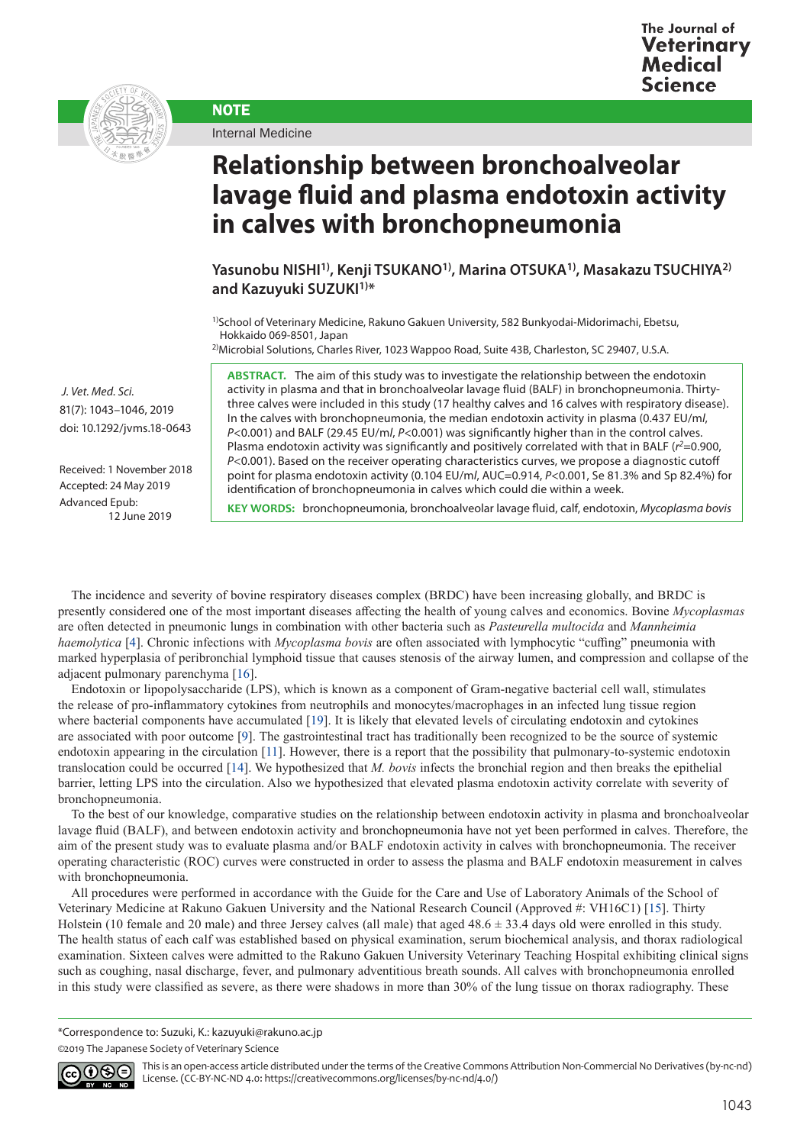



Internal Medicine

**NOTE** 

**Relationship between bronchoalveolar lavage fluid and plasma endotoxin activity in calves with bronchopneumonia**

**Yasunobu NISHI1), Kenji TSUKANO1), Marina OTSUKA1), Masakazu TSUCHIYA2)** and Kazuyuki SUZUKI<sup>1)\*</sup>

<sup>1)</sup>School of Veterinary Medicine, Rakuno Gakuen University, 582 Bunkyodai-Midorimachi, Ebetsu, Hokkaido 069-8501, Japan

<sup>2)</sup>Microbial Solutions, Charles River, 1023 Wappoo Road, Suite 43B, Charleston, SC 29407, U.S.A.

**ABSTRACT.** The aim of this study was to investigate the relationship between the endotoxin activity in plasma and that in bronchoalveolar lavage fluid (BALF) in bronchopneumonia. Thirtythree calves were included in this study (17 healthy calves and 16 calves with respiratory disease). In the calves with bronchopneumonia, the median endotoxin activity in plasma (0.437 EU/m*l*, *P*<0.001) and BALF (29.45 EU/m*l*, *P*<0.001) was significantly higher than in the control calves. Plasma endotoxin activity was significantly and positively correlated with that in BALF ( $r^2$ =0.900, *P*<0.001). Based on the receiver operating characteristics curves, we propose a diagnostic cutoff point for plasma endotoxin activity (0.104 EU/m*l*, AUC=0.914, *P*<0.001, Se 81.3% and Sp 82.4%) for identification of bronchopneumonia in calves which could die within a week.

**KEY WORDS:** bronchopneumonia, bronchoalveolar lavage fluid, calf, endotoxin, *Mycoplasma bovis*

 *J. Vet. Med. Sci.*  81(7): 1043–1046, 2019 doi: 10.1292/jvms.18-0643

Received: 1 November 2018 Accepted: 24 May 2019 Advanced Epub: 12 June 2019

The incidence and severity of bovine respiratory diseases complex (BRDC) have been increasing globally, and BRDC is presently considered one of the most important diseases affecting the health of young calves and economics. Bovine *Mycoplasmas* are often detected in pneumonic lungs in combination with other bacteria such as *Pasteurella multocida* and *Mannheimia haemolytica* [\[4](#page-3-0)]. Chronic infections with *Mycoplasma bovis* are often associated with lymphocytic "cuffing" pneumonia with marked hyperplasia of peribronchial lymphoid tissue that causes stenosis of the airway lumen, and compression and collapse of the adjacent pulmonary parenchyma [[16](#page-3-1)].

Endotoxin or lipopolysaccharide (LPS), which is known as a component of Gram-negative bacterial cell wall, stimulates the release of pro-inflammatory cytokines from neutrophils and monocytes/macrophages in an infected lung tissue region where bacterial components have accumulated [[19](#page-3-2)]. It is likely that elevated levels of circulating endotoxin and cytokines are associated with poor outcome [[9](#page-3-3)]. The gastrointestinal tract has traditionally been recognized to be the source of systemic endotoxin appearing in the circulation [[11](#page-3-4)]. However, there is a report that the possibility that pulmonary-to-systemic endotoxin translocation could be occurred [[14](#page-3-5)]. We hypothesized that *M. bovis* infects the bronchial region and then breaks the epithelial barrier, letting LPS into the circulation. Also we hypothesized that elevated plasma endotoxin activity correlate with severity of bronchopneumonia.

To the best of our knowledge, comparative studies on the relationship between endotoxin activity in plasma and bronchoalveolar lavage fluid (BALF), and between endotoxin activity and bronchopneumonia have not yet been performed in calves. Therefore, the aim of the present study was to evaluate plasma and/or BALF endotoxin activity in calves with bronchopneumonia. The receiver operating characteristic (ROC) curves were constructed in order to assess the plasma and BALF endotoxin measurement in calves with bronchopneumonia.

All procedures were performed in accordance with the Guide for the Care and Use of Laboratory Animals of the School of Veterinary Medicine at Rakuno Gakuen University and the National Research Council (Approved #: VH16C1) [[15](#page-3-6)]. Thirty Holstein (10 female and 20 male) and three Jersey calves (all male) that aged  $48.6 \pm 33.4$  days old were enrolled in this study. The health status of each calf was established based on physical examination, serum biochemical analysis, and thorax radiological examination. Sixteen calves were admitted to the Rakuno Gakuen University Veterinary Teaching Hospital exhibiting clinical signs such as coughing, nasal discharge, fever, and pulmonary adventitious breath sounds. All calves with bronchopneumonia enrolled in this study were classified as severe, as there were shadows in more than 30% of the lung tissue on thorax radiography. These

\*Correspondence to: Suzuki, K.: kazuyuki@rakuno.ac.jp

<sup>©2019</sup> The Japanese Society of Veterinary Science



This is an open-access article distributed under the terms of the Creative Commons Attribution Non-Commercial No Derivatives (by-nc-nd) License. (CC-BY-NC-ND 4.0: <https://creativecommons.org/licenses/by-nc-nd/4.0/>)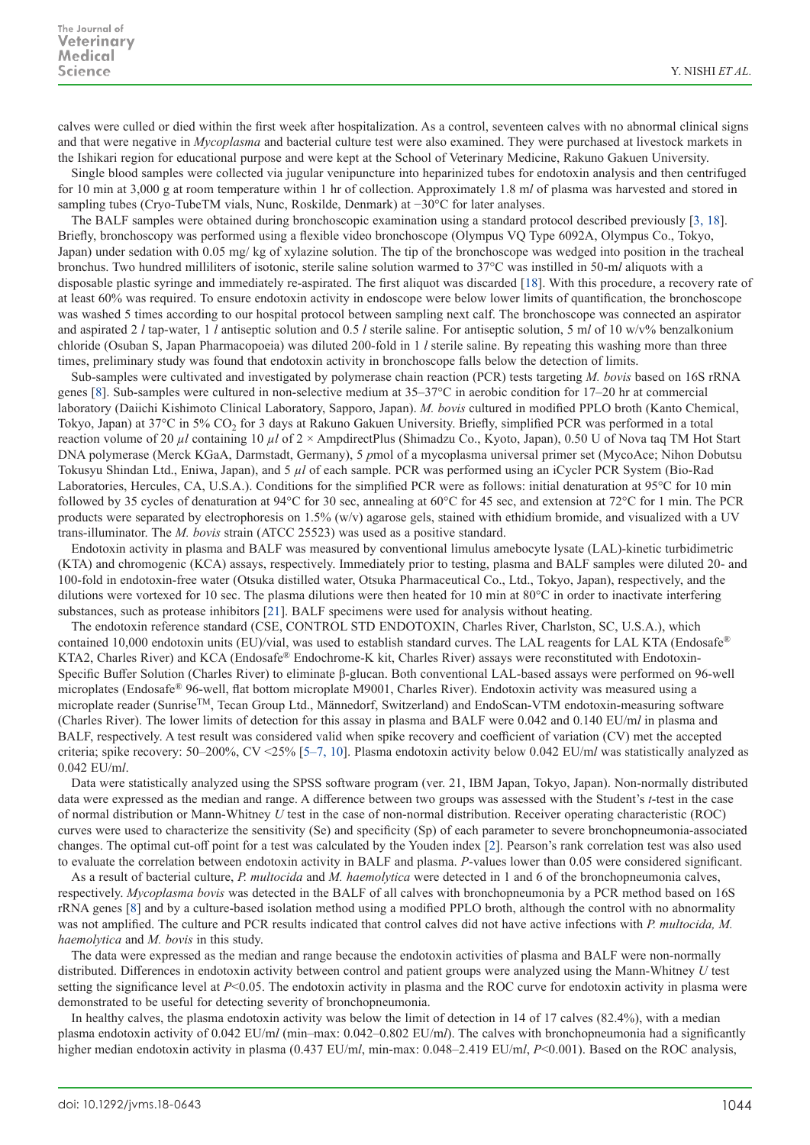calves were culled or died within the first week after hospitalization. As a control, seventeen calves with no abnormal clinical signs and that were negative in *Mycoplasma* and bacterial culture test were also examined. They were purchased at livestock markets in the Ishikari region for educational purpose and were kept at the School of Veterinary Medicine, Rakuno Gakuen University.

Single blood samples were collected via jugular venipuncture into heparinized tubes for endotoxin analysis and then centrifuged for 10 min at 3,000 g at room temperature within 1 hr of collection. Approximately 1.8 m*l* of plasma was harvested and stored in sampling tubes (Cryo-TubeTM vials, Nunc, Roskilde, Denmark) at −30°C for later analyses.

The BALF samples were obtained during bronchoscopic examination using a standard protocol described previously [[3, 18](#page-3-7)]. Briefly, bronchoscopy was performed using a flexible video bronchoscope (Olympus VQ Type 6092A, Olympus Co., Tokyo, Japan) under sedation with 0.05 mg/ kg of xylazine solution. The tip of the bronchoscope was wedged into position in the tracheal bronchus. Two hundred milliliters of isotonic, sterile saline solution warmed to 37°C was instilled in 50-m*l* aliquots with a disposable plastic syringe and immediately re-aspirated. The first aliquot was discarded [[18](#page-3-8)]. With this procedure, a recovery rate of at least 60% was required. To ensure endotoxin activity in endoscope were below lower limits of quantification, the bronchoscope was washed 5 times according to our hospital protocol between sampling next calf. The bronchoscope was connected an aspirator and aspirated 2 *l* tap-water, 1 *l* antiseptic solution and 0.5 *l* sterile saline. For antiseptic solution, 5 m*l* of 10 w/v% benzalkonium chloride (Osuban S, Japan Pharmacopoeia) was diluted 200-fold in 1 *l* sterile saline. By repeating this washing more than three times, preliminary study was found that endotoxin activity in bronchoscope falls below the detection of limits.

Sub-samples were cultivated and investigated by polymerase chain reaction (PCR) tests targeting *M. bovis* based on 16S rRNA genes [[8\]](#page-3-9). Sub-samples were cultured in non-selective medium at 35–37°C in aerobic condition for 17–20 hr at commercial laboratory (Daiichi Kishimoto Clinical Laboratory, Sapporo, Japan). *M. bovis* cultured in modified PPLO broth (Kanto Chemical, Tokyo, Japan) at 37°C in 5% CO<sub>2</sub> for 3 days at Rakuno Gakuen University. Briefly, simplified PCR was performed in a total reaction volume of 20 *µl* containing 10 *µl* of 2 × AmpdirectPlus (Shimadzu Co., Kyoto, Japan), 0.50 U of Nova taq TM Hot Start DNA polymerase (Merck KGaA, Darmstadt, Germany), 5 *p*mol of a mycoplasma universal primer set (MycoAce; Nihon Dobutsu Tokusyu Shindan Ltd., Eniwa, Japan), and 5 *µl* of each sample. PCR was performed using an iCycler PCR System (Bio-Rad Laboratories, Hercules, CA, U.S.A.). Conditions for the simplified PCR were as follows: initial denaturation at 95°C for 10 min followed by 35 cycles of denaturation at 94°C for 30 sec, annealing at 60°C for 45 sec, and extension at 72°C for 1 min. The PCR products were separated by electrophoresis on 1.5% (w/v) agarose gels, stained with ethidium bromide, and visualized with a UV trans-illuminator. The *M. bovis* strain (ATCC 25523) was used as a positive standard.

Endotoxin activity in plasma and BALF was measured by conventional limulus amebocyte lysate (LAL)-kinetic turbidimetric (KTA) and chromogenic (KCA) assays, respectively. Immediately prior to testing, plasma and BALF samples were diluted 20- and 100-fold in endotoxin-free water (Otsuka distilled water, Otsuka Pharmaceutical Co., Ltd., Tokyo, Japan), respectively, and the dilutions were vortexed for 10 sec. The plasma dilutions were then heated for 10 min at 80°C in order to inactivate interfering substances, such as protease inhibitors [[21](#page-3-10)]. BALF specimens were used for analysis without heating.

The endotoxin reference standard (CSE, CONTROL STD ENDOTOXIN, Charles River, Charlston, SC, U.S.A.), which contained 10,000 endotoxin units (EU)/vial, was used to establish standard curves. The LAL reagents for LAL KTA (Endosafe® KTA2, Charles River) and KCA (Endosafe® Endochrome-K kit, Charles River) assays were reconstituted with Endotoxin-Specific Buffer Solution (Charles River) to eliminate β-glucan. Both conventional LAL-based assays were performed on 96-well microplates (Endosafe® 96-well, flat bottom microplate M9001, Charles River). Endotoxin activity was measured using a microplate reader (Sunrise<sup>TM</sup>, Tecan Group Ltd., Männedorf, Switzerland) and EndoScan-VTM endotoxin-measuring software (Charles River). The lower limits of detection for this assay in plasma and BALF were 0.042 and 0.140 EU/m*l* in plasma and BALF, respectively. A test result was considered valid when spike recovery and coefficient of variation (CV) met the accepted criteria; spike recovery: 50–200%, CV <25% [\[5–7, 10](#page-3-11)]. Plasma endotoxin activity below 0.042 EU/m*l* was statistically analyzed as 0.042 EU/m*l*.

Data were statistically analyzed using the SPSS software program (ver. 21, IBM Japan, Tokyo, Japan). Non-normally distributed data were expressed as the median and range. A difference between two groups was assessed with the Student's *t*-test in the case of normal distribution or Mann-Whitney *U* test in the case of non-normal distribution. Receiver operating characteristic (ROC) curves were used to characterize the sensitivity (Se) and specificity (Sp) of each parameter to severe bronchopneumonia-associated changes. The optimal cut-off point for a test was calculated by the Youden index [[2](#page-3-12)]. Pearson's rank correlation test was also used to evaluate the correlation between endotoxin activity in BALF and plasma. *P*-values lower than 0.05 were considered significant.

As a result of bacterial culture, *P. multocida* and *M. haemolytica* were detected in 1 and 6 of the bronchopneumonia calves, respectively. *Mycoplasma bovis* was detected in the BALF of all calves with bronchopneumonia by a PCR method based on 16S rRNA genes [[8\]](#page-3-9) and by a culture-based isolation method using a modified PPLO broth, although the control with no abnormality was not amplified. The culture and PCR results indicated that control calves did not have active infections with *P. multocida, M. haemolytica* and *M. bovis* in this study.

The data were expressed as the median and range because the endotoxin activities of plasma and BALF were non-normally distributed. Differences in endotoxin activity between control and patient groups were analyzed using the Mann-Whitney *U* test setting the significance level at *P*<0.05. The endotoxin activity in plasma and the ROC curve for endotoxin activity in plasma were demonstrated to be useful for detecting severity of bronchopneumonia.

In healthy calves, the plasma endotoxin activity was below the limit of detection in 14 of 17 calves (82.4%), with a median plasma endotoxin activity of 0.042 EU/m*l* (min–max: 0.042–0.802 EU/m*l*). The calves with bronchopneumonia had a significantly higher median endotoxin activity in plasma (0.437 EU/m*l*, min-max: 0.048–2.419 EU/m*l*, *P*<0.001). Based on the ROC analysis,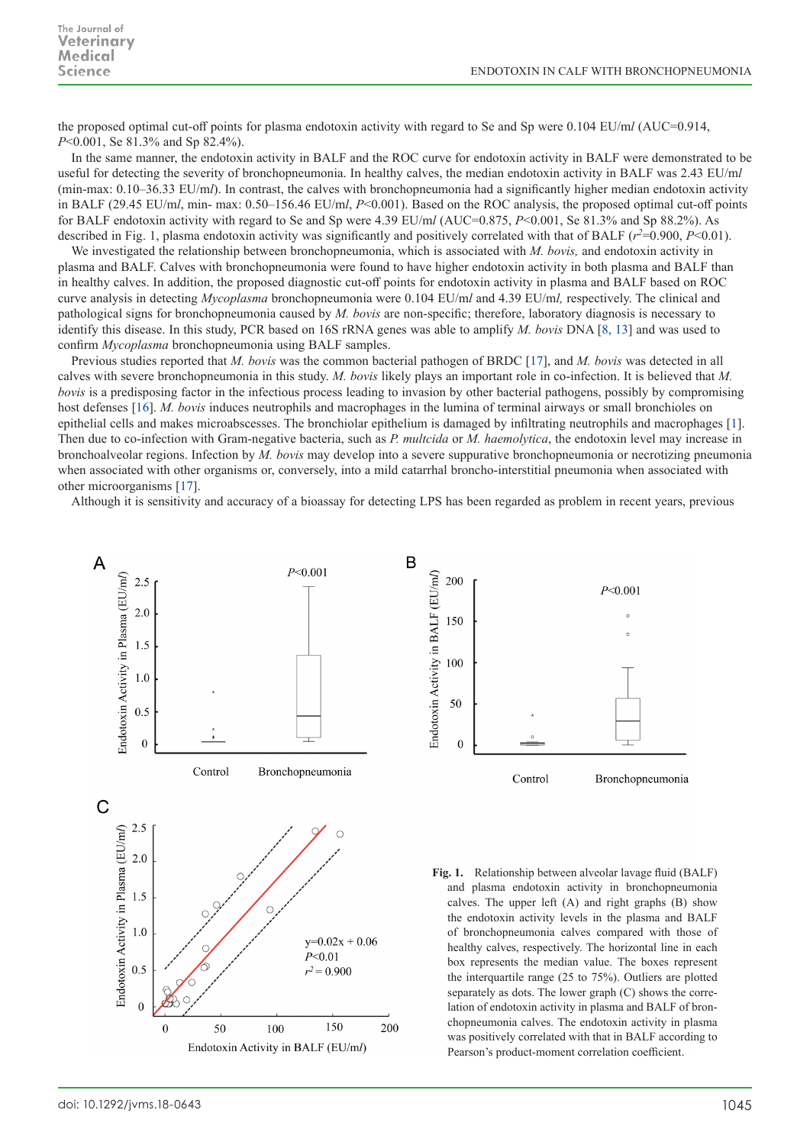the proposed optimal cut-off points for plasma endotoxin activity with regard to Se and Sp were 0.104 EU/m*l* (AUC=0.914, *P*<0.001, Se 81.3% and Sp 82.4%).

In the same manner, the endotoxin activity in BALF and the ROC curve for endotoxin activity in BALF were demonstrated to be useful for detecting the severity of bronchopneumonia. In healthy calves, the median endotoxin activity in BALF was 2.43 EU/m*l* (min-max: 0.10–36.33 EU/m*l*). In contrast, the calves with bronchopneumonia had a significantly higher median endotoxin activity in BALF (29.45 EU/m*l*, min- max: 0.50–156.46 EU/m*l*, *P*<0.001). Based on the ROC analysis, the proposed optimal cut-off points for BALF endotoxin activity with regard to Se and Sp were 4.39 EU/m*l* (AUC=0.875, *P*<0.001, Se 81.3% and Sp 88.2%). As described in Fig. 1, plasma endotoxin activity was significantly and positively correlated with that of BALF  $(r^2=0.900, P<0.01)$ .

We investigated the relationship between bronchopneumonia, which is associated with *M. bovis,* and endotoxin activity in plasma and BALF. Calves with bronchopneumonia were found to have higher endotoxin activity in both plasma and BALF than in healthy calves. In addition, the proposed diagnostic cut-off points for endotoxin activity in plasma and BALF based on ROC curve analysis in detecting *Mycoplasma* bronchopneumonia were 0.104 EU/m*l* and 4.39 EU/m*l,* respectively. The clinical and pathological signs for bronchopneumonia caused by *M. bovis* are non-specific; therefore, laboratory diagnosis is necessary to identify this disease. In this study, PCR based on 16S rRNA genes was able to amplify *M. bovis* DNA [\[8, 13\]](#page-3-9) and was used to confirm *Mycoplasma* bronchopneumonia using BALF samples.

Previous studies reported that *M. bovis* was the common bacterial pathogen of BRDC [[17](#page-3-13)], and *M. bovis* was detected in all calves with severe bronchopneumonia in this study. *M. bovis* likely plays an important role in co-infection. It is believed that *M. bovis* is a predisposing factor in the infectious process leading to invasion by other bacterial pathogens, possibly by compromising host defenses [\[16](#page-3-1)]. *M. bovis* induces neutrophils and macrophages in the lumina of terminal airways or small bronchioles on epithelial cells and makes microabscesses. The bronchiolar epithelium is damaged by infiltrating neutrophils and macrophages [[1](#page-3-14)]. Then due to co-infection with Gram-negative bacteria, such as *P. multcida* or *M. haemolytica*, the endotoxin level may increase in bronchoalveolar regions. Infection by *M. bovis* may develop into a severe suppurative bronchopneumonia or necrotizing pneumonia when associated with other organisms or, conversely, into a mild catarrhal broncho-interstitial pneumonia when associated with other microorganisms [[17\]](#page-3-13).

Although it is sensitivity and accuracy of a bioassay for detecting LPS has been regarded as problem in recent years, previous